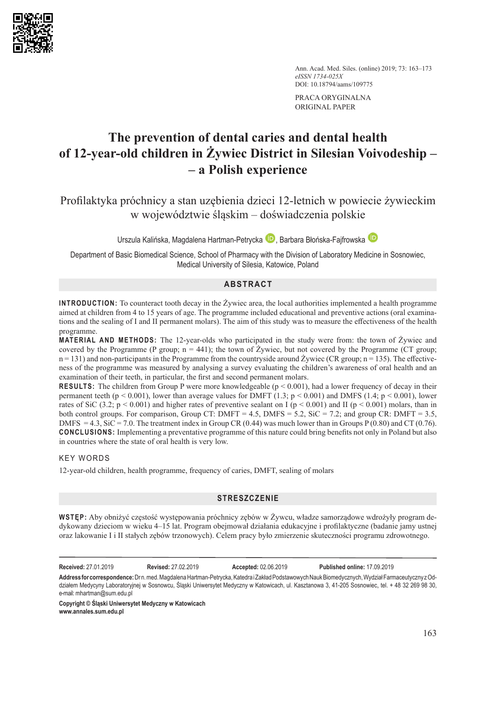

Ann. Acad. Med. Siles. (online) 2019; 73: 163–173 *eISSN 1734-025X* DOI: 10.18794/aams/109775

PRACA ORYGINALNA ORIGINAL PAPER

# **The prevention of dental caries and dental health of 12-year-old children in Żywiec District in Silesian Voivodeship – – a Polish experience**

Profilaktyka próchnicy a stan uzębienia dzieci 12-letnich w powiecie żywieckim w województwie śląskim – doświadczenia polskie

UrszulaKalińska, Magdalena Hartman-Petrycka D, Barbara Błońska-Fajfrowska D

Department of Basic Biomedical Science, School of Pharmacy with the Division of Laboratory Medicine in Sosnowiec, Medical University of Silesia, Katowice, Poland

# **ABSTRACT**

**INTRODUCTION:** To counteract tooth decay in the Żywiec area, the local authorities implemented a health programme aimed at children from 4 to 15 years of age. The programme included educational and preventive actions (oral examinations and the sealing of I and II permanent molars). The aim of this study was to measure the effectiveness of the health programme.

**MATERIAL AND METHODS:** The 12-year-olds who participated in the study were from: the town of Żywiec and covered by the Programme (P group;  $n = 441$ ); the town of Żywiec, but not covered by the Programme (CT group;  $n = 131$ ) and non-participants in the Programme from the countryside around Żywiec (CR group;  $n = 135$ ). The effectiveness of the programme was measured by analysing a survey evaluating the children's awareness of oral health and an examination of their teeth, in particular, the first and second permanent molars.

**RESULTS:** The children from Group P were more knowledgeable (p < 0.001), had a lower frequency of decay in their permanent teeth (p < 0.001), lower than average values for DMFT  $(1.3; p < 0.001)$  and DMFS  $(1.4; p < 0.001)$ , lower rates of SiC (3.2;  $p < 0.001$ ) and higher rates of preventive sealant on I ( $p < 0.001$ ) and II ( $p < 0.001$ ) molars, than in both control groups. For comparison, Group CT: DMFT = 4.5, DMFS = 5.2, SiC = 7.2; and group CR: DMFT = 3.5, DMFS = 4.3, SiC = 7.0. The treatment index in Group CR (0.44) was much lower than in Groups P (0.80) and CT (0.76). **CONCLUSIONS:** Implementing a preventative programme of this nature could bring benefits not only in Poland but also in countries where the state of oral health is very low.

# KEY WORDS

12-year-old children, health programme, frequency of caries, DMFT, sealing of molars

# **STRESZCZENIE**

**WSTĘP:** Aby obniżyć częstość występowania próchnicy zębów w Żywcu, władze samorządowe wdrożyły program dedykowany dzieciom w wieku 4–15 lat. Program obejmował działania edukacyjne i profilaktyczne (badanie jamy ustnej oraz lakowanie I i II stałych zębów trzonowych). Celem pracy było zmierzenie skuteczności programu zdrowotnego.

**Received:** 27.01.2019 **Revised:** 27.02.2019 **Accepted:** 02.06.2019 **Published online:** 17.09.2019

**Address for correspondence:** Dr n. med. Magdalena Hartman-Petrycka, Katedra i Zakład Podstawowych Nauk Biomedycznych, Wydział Farmaceutyczny z Oddziałem Medycyny Laboratoryjnej w Sosnowcu, Śląski Uniwersytet Medyczny w Katowicach, ul. Kasztanowa 3, 41-205 Sosnowiec, tel. + 48 32 269 98 30, e-mail: [mhartman@sum.edu.pl](mailto:mhartman@sum.edu.pl)

**Copyright © Śląski Uniwersytet Medyczny w Katowicach www.annales.sum.edu.pl**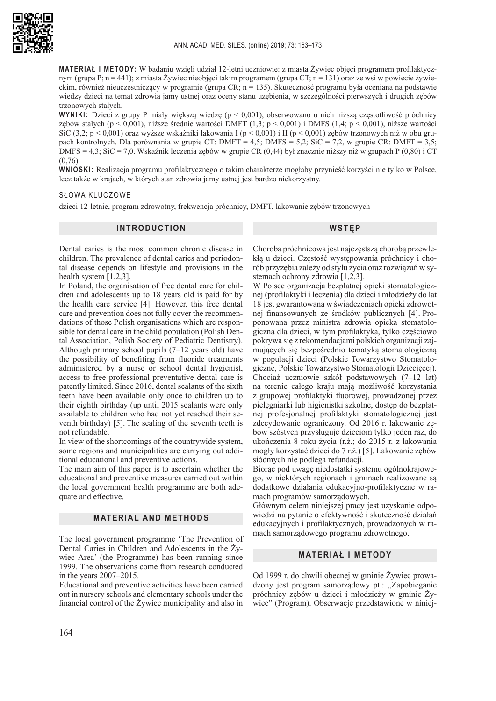

**MATERIAŁ I METODY:** W badaniu wzięli udział 12-letni uczniowie: z miasta Żywiec objęci programem profilaktycznym (grupa P; n = 441); z miasta Żywiec nieobjęci takim programem (grupa CT; n = 131) oraz ze wsi w powiecie żywieckim, również nieuczestniczący w programie (grupa CR; n = 135). Skuteczność programu była oceniana na podstawie wiedzy dzieci na temat zdrowia jamy ustnej oraz oceny stanu uzębienia, w szczególności pierwszych i drugich zębów trzonowych stałych.

**WYNIKI:** Dzieci z grupy P miały większą wiedzę (p < 0,001), obserwowano u nich niższą częstotliwość próchnicy zębów stałych (p < 0,001), niższe średnie wartości DMFT (1,3; p < 0,001) i DMFS (1,4; p < 0,001), niższe wartości SiC (3,2; p < 0,001) oraz wyższe wskaźniki lakowania I (p < 0,001) i II (p < 0,001) zebów trzonowych niż w obu grupach kontrolnych. Dla porównania w grupie CT: DMFT = 4,5; DMFS = 5,2; SiC = 7,2, w grupie CR: DMFT = 3,5; DMFS = 4,3; SiC = 7,0. Wskaźnik leczenia zębów w grupie CR (0,44) był znacznie niższy niż w grupach P (0,80) i CT  $(0,76)$ .

**WNIOSKI:** Realizacja programu profilaktycznego o takim charakterze mogłaby przynieść korzyści nie tylko w Polsce, lecz także w krajach, w których stan zdrowia jamy ustnej jest bardzo niekorzystny.

#### SŁOWA KLUCZOWE

dzieci 12-letnie, program zdrowotny, frekwencja próchnicy, DMFT, lakowanie zębów trzonowych

## **INTRODUCTION**

#### **WSTĘP**

Dental caries is the most common chronic disease in children. The prevalence of dental caries and periodontal disease depends on lifestyle and provisions in the health system [1,2,3].

In Poland, the organisation of free dental care for children and adolescents up to 18 years old is paid for by the health care service [4]. However, this free dental care and prevention does not fully cover the recommendations of those Polish organisations which are responsible for dental care in the child population (Polish Dental Association, Polish Society of Pediatric Dentistry). Although primary school pupils (7–12 years old) have the possibility of benefiting from fluoride treatments administered by a nurse or school dental hygienist, access to free professional preventative dental care is patently limited. Since 2016, dental sealants of the sixth teeth have been available only once to children up to their eighth birthday (up until 2015 sealants were only available to children who had not yet reached their seventh birthday) [5]. The sealing of the seventh teeth is not refundable.

In view of the shortcomings of the countrywide system, some regions and municipalities are carrying out additional educational and preventive actions.

The main aim of this paper is to ascertain whether the educational and preventive measures carried out within the local government health programme are both adequate and effective.

#### **MATERIAL AND METHODS**

The local government programme 'The Prevention of Dental Caries in Children and Adolescents in the Żywiec Area' (the Programme) has been running since 1999. The observations come from research conducted in the years 2007–2015.

Educational and preventive activities have been carried out in nursery schools and elementary schools under the financial control of the Żywiec municipality and also in

Choroba próchnicowa jest najczęstszą chorobą przewlekłą u dzieci. Częstość występowania próchnicy i chorób przyzębia zależy od stylu życia oraz rozwiązań w systemach ochrony zdrowia [1,2,3].

W Polsce organizacja bezpłatnej opieki stomatologicznej (profilaktyki i leczenia) dla dzieci i młodzieży do lat 18 jest gwarantowana w świadczeniach opieki zdrowotnej finansowanych ze środków publicznych [4]. Proponowana przez ministra zdrowia opieka stomatologiczna dla dzieci, w tym profilaktyka, tylko częściowo pokrywa się z rekomendacjami polskich organizacji zajmujących się bezpośrednio tematyką stomatologiczną w populacji dzieci (Polskie Towarzystwo Stomatologiczne, Polskie Towarzystwo Stomatologii Dziecięcej). Chociaż uczniowie szkół podstawowych (7–12 lat) na terenie całego kraju mają możliwość korzystania z grupowej profilaktyki fluorowej, prowadzonej przez pielęgniarki lub higienistki szkolne, dostęp do bezpłatnej profesjonalnej profilaktyki stomatologicznej jest zdecydowanie ograniczony. Od 2016 r. lakowanie zębów szóstych przysługuje dzieciom tylko jeden raz, do ukończenia 8 roku życia (r.ż.; do 2015 r. z lakowania mogły korzystać dzieci do 7 r.ż.) [5]. Lakowanie zębów siódmych nie podlega refundacji.

Biorąc pod uwagę niedostatki systemu ogólnokrajowego, w niektórych regionach i gminach realizowane są dodatkowe działania edukacyjno-profilaktyczne w ramach programów samorządowych.

Głównym celem niniejszej pracy jest uzyskanie odpowiedzi na pytanie o efektywność i skuteczność działań edukacyjnych i profilaktycznych, prowadzonych w ramach samorządowego programu zdrowotnego.

## **MATERIAŁ I METODY**

Od 1999 r. do chwili obecnej w gminie Żywiec prowadzony jest program samorządowy pt.: "Zapobieganie próchnicy zębów u dzieci i młodzieży w gminie Żywiec" (Program). Obserwacje przedstawione w niniej-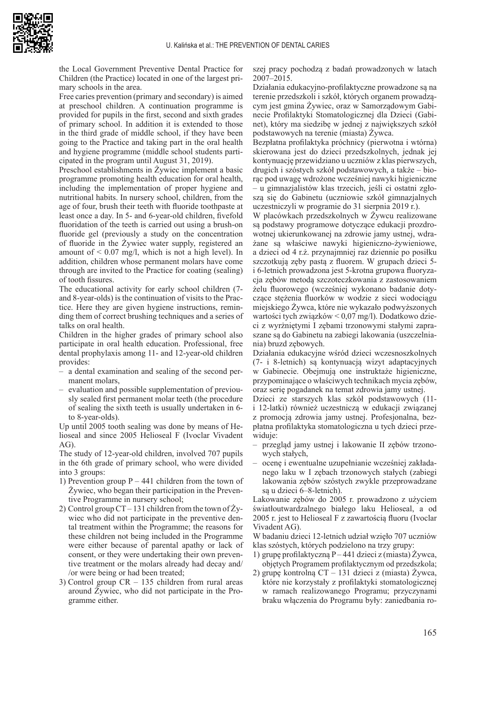

the Local Government Preventive Dental Practice for Children (the Practice) located in one of the largest primary schools in the area.

Free caries prevention (primary and secondary) is aimed at preschool children. A continuation programme is provided for pupils in the first, second and sixth grades of primary school. In addition it is extended to those in the third grade of middle school, if they have been going to the Practice and taking part in the oral health and hygiene programme (middle school students participated in the program until August 31, 2019).

Preschool establishments in Żywiec implement a basic programme promoting health education for oral health, including the implementation of proper hygiene and nutritional habits. In nursery school, children, from the age of four, brush their teeth with fluoride toothpaste at least once a day. In 5- and 6-year-old children, fivefold fluoridation of the teeth is carried out using a brush-on fluoride gel (previously a study on the concentration of fluoride in the Żywiec water supply, registered an amount of  $\leq 0.07$  mg/l, which is not a high level). In addition, children whose permanent molars have come through are invited to the Practice for coating (sealing) of tooth fissures.

The educational activity for early school children (7 and 8-year-olds) is the continuation of visits to the Practice. Here they are given hygiene instructions, reminding them of correct brushing techniques and a series of talks on oral health.

Children in the higher grades of primary school also participate in oral health education. Professional, free dental prophylaxis among 11- and 12-year-old children provides:

- a dental examination and sealing of the second permanent molars,
- evaluation and possible supplementation of previously sealed first permanent molar teeth (the procedure of sealing the sixth teeth is usually undertaken in 6 to 8-year-olds).

Up until 2005 tooth sealing was done by means of Helioseal and since 2005 Helioseal F (Ivoclar Vivadent AG).

The study of 12-year-old children, involved 707 pupils in the 6th grade of primary school, who were divided into 3 groups:

- 1) Prevention group  $P 441$  children from the town of Żywiec, who began their participation in the Preventive Programme in nursery school;
- 2) Control group CT 131 children from the town of  $\dot{Z}y$ wiec who did not participate in the preventive dental treatment within the Programme; the reasons for these children not being included in the Programme were either because of parental apathy or lack of consent, or they were undertaking their own preventive treatment or the molars already had decay and/ /or were being or had been treated;
- 3) Control group CR 135 children from rural areas around Żywiec, who did not participate in the Programme either.

szej pracy pochodzą z badań prowadzonych w latach 2007–2015.

Działania edukacyjno-profilaktyczne prowadzone są na terenie przedszkoli i szkół, których organem prowadzącym jest gmina Żywiec, oraz w Samorządowym Gabinecie Profilaktyki Stomatologicznej dla Dzieci (Gabinet), który ma siedzibę w jednej z największych szkół podstawowych na terenie (miasta) Żywca.

Bezpłatna profilaktyka próchnicy (pierwotna i wtórna) skierowana jest do dzieci przedszkolnych, jednak jej kontynuację przewidziano u uczniów z klas pierwszych, drugich i szóstych szkół podstawowych, a także – biorąc pod uwagę wdrożone wcześniej nawyki higieniczne – u gimnazjalistów klas trzecich, jeśli ci ostatni zgłoszą się do Gabinetu (uczniowie szkół gimnazjalnych uczestniczyli w programie do 31 sierpnia 2019 r.).

W placówkach przedszkolnych w Żywcu realizowane są podstawy programowe dotyczące edukacji prozdrowotnej ukierunkowanej na zdrowie jamy ustnej, wdrażane są właściwe nawyki higieniczno-żywieniowe, a dzieci od 4 r.ż. przynajmniej raz dziennie po posiłku szczotkują zęby pastą z fluorem. W grupach dzieci 5 i 6-letnich prowadzona jest 5-krotna grupowa fluoryzacja zębów metodą szczoteczkowania z zastosowaniem żelu fluorowego (wcześniej wykonano badanie dotyczące stężenia fluorków w wodzie z sieci wodociągu miejskiego Żywca, które nie wykazało podwyższonych wartości tych związków < 0,07 mg/l). Dodatkowo dzieci z wyrżniętymi I zębami trzonowymi stałymi zapraszane są do Gabinetu na zabiegi lakowania (uszczelniania) bruzd zębowych.

Działania edukacyjne wśród dzieci wczesnoszkolnych (7- i 8-letnich) są kontynuacją wizyt adaptacyjnych w Gabinecie. Obejmują one instruktaże higieniczne, przypominające o właściwych technikach mycia zębów, oraz serię pogadanek na temat zdrowia jamy ustnej.

Dzieci ze starszych klas szkół podstawowych (11 i 12-latki) również uczestniczą w edukacji związanej z promocją zdrowia jamy ustnej. Profesjonalna, bezpłatna profilaktyka stomatologiczna u tych dzieci przewiduje:

- przegląd jamy ustnej i lakowanie II zębów trzonowych stałych,
- ocenę i ewentualne uzupełnianie wcześniej zakładanego laku w I zębach trzonowych stałych (zabiegi lakowania zębów szóstych zwykle przeprowadzane są u dzieci 6–8-letnich).

Lakowanie zębów do 2005 r. prowadzono z użyciem światłoutwardzalnego białego laku Helioseal, a od 2005 r. jest to Helioseal F z zawartością fluoru (Ivoclar Vivadent AG).

W badaniu dzieci 12-letnich udział wzięło 707 uczniów klas szóstych, których podzielono na trzy grupy:

- 1) grupę profilaktyczną P 441 dzieci z (miasta) Żywca, objętych Programem profilaktycznym od przedszkola;
- 2) grupę kontrolną CT 131 dzieci z (miasta) Żywca, które nie korzystały z profilaktyki stomatologicznej w ramach realizowanego Programu; przyczynami braku włączenia do Programu były: zaniedbania ro-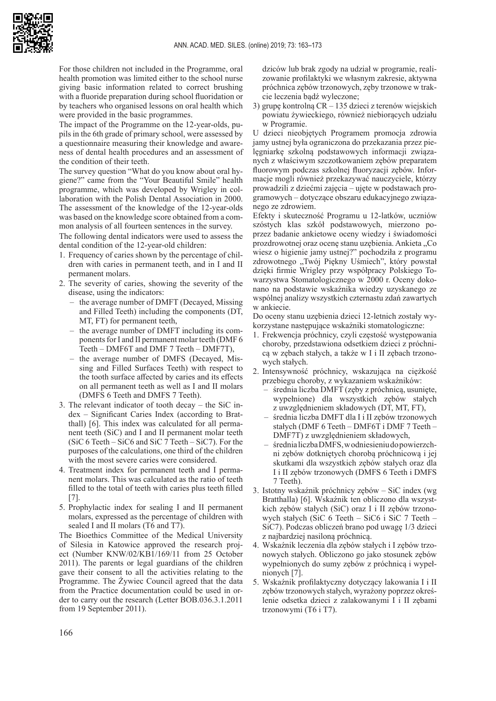

For those children not included in the Programme, oral health promotion was limited either to the school nurse giving basic information related to correct brushing with a fluoride preparation during school fluoridation or by teachers who organised lessons on oral health which were provided in the basic programmes.

The impact of the Programme on the 12-year-olds, pupils in the 6th grade of primary school, were assessed by a questionnaire measuring their knowledge and awareness of dental health procedures and an assessment of the condition of their teeth.

The survey question "What do you know about oral hygiene?" came from the "Your Beautiful Smile" health programme, which was developed by Wrigley in collaboration with the Polish Dental Association in 2000. The assessment of the knowledge of the 12-year-olds was based on the knowledge score obtained from a common analysis of all fourteen sentences in the survey.

The following dental indicators were used to assess the dental condition of the 12-year-old children:

- 1. Frequency of caries shown by the percentage of children with caries in permanent teeth, and in I and II permanent molars.
- 2. The severity of caries, showing the severity of the disease, using the indicators:
	- the average number of DMFT (Decayed, Missing and Filled Teeth) including the components (DT, MT, FT) for permanent teeth,
	- the average number of DMFT including its components for I and II permanent molar teeth (DMF 6 Teeth – DMF6T and DMF 7 Teeth – DMF7T),
	- the average number of DMFS (Decayed, Missing and Filled Surfaces Teeth) with respect to the tooth surface affected by caries and its effects on all permanent teeth as well as I and II molars (DMFS 6 Teeth and DMFS 7 Teeth).
- 3. The relevant indicator of tooth decay the SiC index – Significant Caries Index (according to Bratthall) [6]. This index was calculated for all permanent teeth (SiC) and I and II permanent molar teeth (SiC 6 Teeth – SiC6 and SiC  $\overline{7}$  Teeth – SiC7). For the purposes of the calculations, one third of the children with the most severe caries were considered.
- 4. Treatment index for permanent teeth and I permanent molars. This was calculated as the ratio of teeth filled to the total of teeth with caries plus teeth filled [7].
- 5. Prophylactic index for sealing I and II permanent molars, expressed as the percentage of children with sealed I and II molars (T6 and T7).

The Bioethics Committee of the Medical University of Silesia in Katowice approved the research project (Number KNW/02/KB1/169/11 from 25 October 2011). The parents or legal guardians of the children gave their consent to all the activities relating to the Programme. The Żywiec Council agreed that the data from the Practice documentation could be used in order to carry out the research (Letter BOB.036.3.1.2011 from 19 September 2011).

dziców lub brak zgody na udział w programie, realizowanie profilaktyki we własnym zakresie, aktywna próchnica zębów trzonowych, zęby trzonowe w trakcie leczenia bądź wyleczone;

3) grupę kontrolną CR – 135 dzieci z terenów wiejskich powiatu żywieckiego, również niebiorących udziału w Programie.

U dzieci nieobjętych Programem promocja zdrowia jamy ustnej była ograniczona do przekazania przez pielęgniarkę szkolną podstawowych informacji związanych z właściwym szczotkowaniem zębów preparatem fluorowym podczas szkolnej fluoryzacji zębów. Informacje mogli również przekazywać nauczyciele, którzy prowadzili z dziećmi zajęcia – ujęte w podstawach programowych – dotyczące obszaru edukacyjnego związanego ze zdrowiem.

Efekty i skuteczność Programu u 12-latków, uczniów szóstych klas szkół podstawowych, mierzono poprzez badanie ankietowe oceny wiedzy i świadomości prozdrowotnej oraz ocenę stanu uzębienia. Ankieta "Co wiesz o higienie jamy ustnej?" pochodziła z programu zdrowotnego "Twój Piękny Uśmiech", który powstał dzięki firmie Wrigley przy współpracy Polskiego Towarzystwa Stomatologicznego w 2000 r. Oceny dokonano na podstawie wskaźnika wiedzy uzyskanego ze wspólnej analizy wszystkich czternastu zdań zawartych w ankiecie.

Do oceny stanu uzębienia dzieci 12-letnich zostały wykorzystane następujące wskaźniki stomatologiczne:

- 1. Frekwencja próchnicy, czyli częstość występowania choroby, przedstawiona odsetkiem dzieci z próchnicą w zębach stałych, a także w I i II zębach trzonowych stałych.
- 2. Intensywność próchnicy, wskazująca na ciężkość przebiegu choroby, z wykazaniem wskaźników:
	- średnia liczba DMFT (zęby z próchnicą, usunięte, wypełnione) dla wszystkich zębów stałych z uwzględnieniem składowych (DT, MT, FT),
	- średnia liczba DMFT dla I i II zębów trzonowych stałych (DMF 6 Teeth – DMF6T i DMF 7 Teeth – DMF7T) z uwzględnieniem składowych,
	- średnia liczba DMFS, w odniesieniu do powierzchni zębów dotkniętych chorobą próchnicową i jej skutkami dla wszystkich zębów stałych oraz dla I i II zębów trzonowych (DMFS 6 Teeth i DMFS 7 Teeth).
- 3. Istotny wskaźnik próchnicy zębów SiC index (wg Bratthalla) [6]. Wskaźnik ten obliczono dla wszystkich zębów stałych (SiC) oraz I i II zębów trzonowych stałych (SiC 6 Teeth – SiC6 i SiC 7 Teeth – SiC7). Podczas obliczeń brano pod uwagę 1/3 dzieci z najbardziej nasiloną próchnicą.
- 4. Wskaźnik leczenia dla zębów stałych i I zębów trzonowych stałych. Obliczono go jako stosunek zębów wypełnionych do sumy zębów z próchnicą i wypełnionych [7].
- 5. Wskaźnik profilaktyczny dotyczący lakowania I i II zębów trzonowych stałych, wyrażony poprzez określenie odsetka dzieci z zalakowanymi I i II zębami trzonowymi (T6 i T7).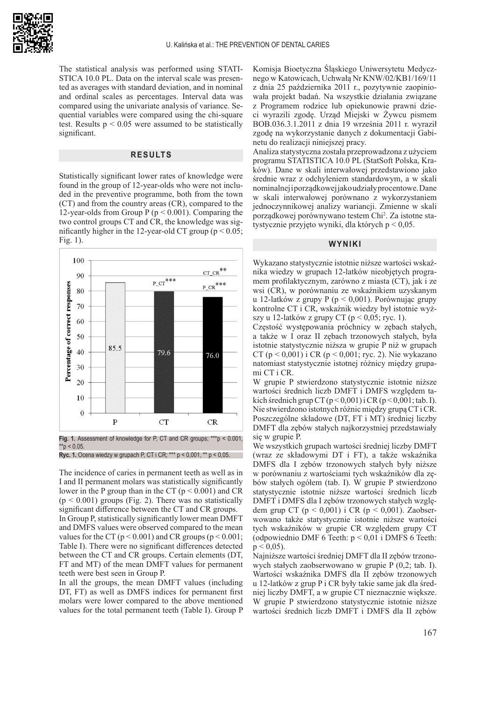

The statistical analysis was performed using STATI-STICA 10.0 PL. Data on the interval scale was presented as averages with standard deviation, and in nominal and ordinal scales as percentages. Interval data was compared using the univariate analysis of variance. Sequential variables were compared using the chi-square test. Results  $p < 0.05$  were assumed to be statistically significant.

## **RESULTS**

Statistically significant lower rates of knowledge were found in the group of 12-year-olds who were not included in the preventive programme, both from the town (CT) and from the country areas (CR), compared to the 12-year-olds from Group P ( $p < 0.001$ ). Comparing the two control groups CT and CR, the knowledge was significantly higher in the 12-year-old CT group ( $p < 0.05$ ; Fig. 1).



**Fig. 1.** Assessment of knowledge for P, CT and CR groups; \*\*\*p < 0.001,  $*$ <sub>p</sub> < 0.05.

**Ryc. 1.** Ocena wiedzy w grupach P, CT i CR; \*\*\* p < 0,001, \*\* p < 0,05.

The incidence of caries in permanent teeth as well as in I and II permanent molars was statistically significantly lower in the P group than in the CT ( $p < 0.001$ ) and CR  $(p < 0.001)$  groups (Fig. 2). There was no statistically significant difference between the CT and CR groups. In Group P, statistically significantly lower mean DMFT and DMFS values were observed compared to the mean values for the CT ( $p < 0.001$ ) and CR groups ( $p < 0.001$ ; Table I). There were no significant differences detected between the CT and CR groups. Certain elements (DT, FT and MT) of the mean DMFT values for permanent teeth were best seen in Group P.

In all the groups, the mean DMFT values (including DT, FT) as well as DMFS indices for permanent first molars were lower compared to the above mentioned values for the total permanent teeth (Table I). Group P

Komisja Bioetyczna Śląskiego Uniwersytetu Medycznego w Katowicach, Uchwałą Nr KNW/02/KB1/169/11 z dnia 25 października 2011 r., pozytywnie zaopiniowała projekt badań. Na wszystkie działania związane z Programem rodzice lub opiekunowie prawni dzieci wyrazili zgodę. Urząd Miejski w Żywcu pismem BOB.036.3.1.2011 z dnia 19 września 2011 r. wyraził zgodę na wykorzystanie danych z dokumentacji Gabinetu do realizacji niniejszej pracy.

Analiza statystyczna została przeprowadzona z użyciem programu STATISTICA 10.0 PL (StatSoft Polska, Kraków). Dane w skali interwałowej przedstawiono jako średnie wraz z odchyleniem standardowym, a w skali nominalnej i porządkowej jako udziały procentowe. Dane w skali interwałowej porównano z wykorzystaniem jednoczynnikowej analizy wariancji. Zmienne w skali porządkowej porównywano testem Chi<sup>2</sup> . Za istotne statystycznie przyjęto wyniki, dla których p < 0,05.

# **WYNIKI**

Wykazano statystycznie istotnie niższe wartości wskaźnika wiedzy w grupach 12-latków nieobjętych programem profilaktycznym, zarówno z miasta (CT), jak i ze wsi (CR), w porównaniu ze wskaźnikiem uzyskanym u 12-latków z grupy P (p < 0,001). Porównując grupy kontrolne CT i CR, wskaźnik wiedzy był istotnie wyższy u 12-latków z grupy CT ( $p < 0.05$ ; ryc. 1).

Częstość występowania próchnicy w zębach stałych, a także w I oraz II zębach trzonowych stałych, była istotnie statystycznie niższa w grupie P niż w grupach CT ( $p < 0.001$ ) i CR ( $p < 0.001$ ; ryc. 2). Nie wykazano natomiast statystycznie istotnej różnicy między grupami CT i CR.

W grupie P stwierdzono statystycznie istotnie niższe wartości średnich liczb DMFT i DMFS względem takich średnich grup CT  $(p < 0,001)$  i CR  $(p < 0,001)$ ; tab. I). Nie stwierdzono istotnych różnic między grupą CT i CR. Poszczególne składowe (DT, FT i MT) średniej liczby DMFT dla zębów stałych najkorzystniej przedstawiały się w grupie P.

We wszystkich grupach wartości średniej liczby DMFT (wraz ze składowymi DT i FT), a także wskaźnika DMFS dla I zębów trzonowych stałych były niższe w porównaniu z wartościami tych wskaźników dla zębów stałych ogółem (tab. I). W grupie P stwierdzono statystycznie istotnie niższe wartości średnich liczb DMFT i DMFS dla I zębów trzonowych stałych względem grup CT ( $p < 0,001$ ) i CR ( $p < 0,001$ ). Zaobserwowano także statystycznie istotnie niższe wartości tych wskaźników w grupie CR względem grupy CT (odpowiednio DMF 6 Teeth:  $p < 0.01$  i DMFS 6 Teeth:  $p \le 0.05$ ).

Najniższe wartości średniej DMFT dla II zębów trzonowych stałych zaobserwowano w grupie P (0,2; tab. I). Wartości wskaźnika DMFS dla II zębów trzonowych u 12-latków z grup P i CR były takie same jak dla średniej liczby DMFT, a w grupie CT nieznacznie większe. W grupie P stwierdzono statystycznie istotnie niższe wartości średnich liczb DMFT i DMFS dla II zębów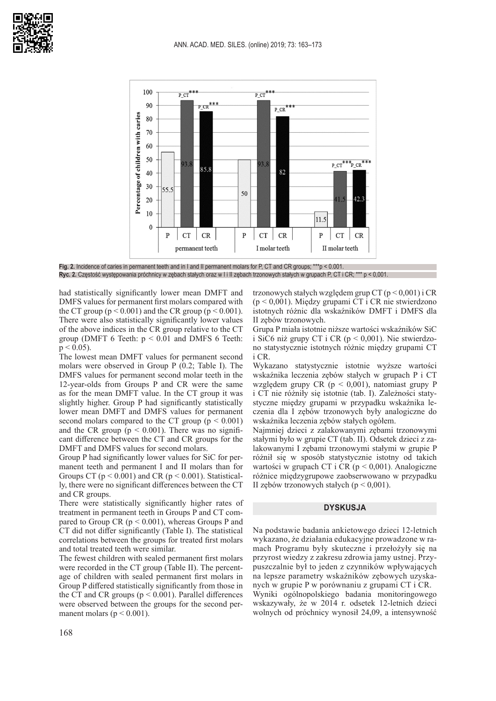



**Fig. 2.** Incidence of caries in permanent teeth and in I and II permanent molars for P, CT and CR groups; \*\*\*p < 0.001. Ryc. 2. Częstość występowania próchnicy w zębach stałych oraz w I i II zębach trzonowych stałych w grupach P, CT i CR; \*\*\* p < 0,001.

had statistically significantly lower mean DMFT and DMFS values for permanent first molars compared with the CT group ( $p < 0.001$ ) and the CR group ( $p < 0.001$ ). There were also statistically significantly lower values of the above indices in the CR group relative to the CT group (DMFT 6 Teeth:  $p < 0.01$  and DMFS 6 Teeth:  $p < 0.05$ ).

The lowest mean DMFT values for permanent second molars were observed in Group P (0.2; Table I). The DMFS values for permanent second molar teeth in the 12-year-olds from Groups P and CR were the same as for the mean DMFT value. In the CT group it was slightly higher. Group P had significantly statistically lower mean DMFT and DMFS values for permanent second molars compared to the CT group  $(p < 0.001)$ and the CR group ( $p < 0.001$ ). There was no significant difference between the CT and CR groups for the DMFT and DMFS values for second molars.

Group P had significantly lower values for SiC for permanent teeth and permanent I and II molars than for Groups CT ( $p < 0.001$ ) and CR ( $p < 0.001$ ). Statistically, there were no significant differences between the CT and CR groups.

There were statistically significantly higher rates of treatment in permanent teeth in Groups P and CT compared to Group CR ( $p < 0.001$ ), whereas Groups P and CT did not differ significantly (Table I). The statistical correlations between the groups for treated first molars and total treated teeth were similar.

The fewest children with sealed permanent first molars were recorded in the CT group (Table II). The percentage of children with sealed permanent first molars in Group P differed statistically significantly from those in the CT and CR groups ( $p \le 0.001$ ). Parallel differences were observed between the groups for the second permanent molars ( $p < 0.001$ ).

trzonowych stałych względem grup CT  $(p < 0,001)$  i CR (p < 0,001). Między grupami CT i CR nie stwierdzono istotnych różnic dla wskaźników DMFT i DMFS dla II zębów trzonowych.

Grupa P miała istotnie niższe wartości wskaźników SiC i SiC6 niż grupy CT i CR  $(p < 0.001)$ . Nie stwierdzono statystycznie istotnych różnic między grupami CT i CR.

Wykazano statystycznie istotnie wyższe wartości wskaźnika leczenia zębów stałych w grupach P i CT względem grupy CR ( $p < 0.001$ ), natomiast grupy P i CT nie różniły się istotnie (tab. I). Zależności statystyczne między grupami w przypadku wskaźnika leczenia dla I zębów trzonowych były analogiczne do wskaźnika leczenia zębów stałych ogółem.

Najmniej dzieci z zalakowanymi zębami trzonowymi stałymi było w grupie CT (tab. II). Odsetek dzieci z zalakowanymi I zębami trzonowymi stałymi w grupie P różnił się w sposób statystycznie istotny od takich wartości w grupach CT i CR ( $p < 0.001$ ). Analogiczne różnice międzygrupowe zaobserwowano w przypadku II zębów trzonowych stałych ( $p < 0.001$ ).

# **DYSKUSJA**

Na podstawie badania ankietowego dzieci 12-letnich wykazano, że działania edukacyjne prowadzone w ramach Programu były skuteczne i przełożyły się na przyrost wiedzy z zakresu zdrowia jamy ustnej. Przypuszczalnie był to jeden z czynników wpływających na lepsze parametry wskaźników zębowych uzyskanych w grupie P w porównaniu z grupami CT i CR. Wyniki ogólnopolskiego badania monitoringowego wskazywały, że w 2014 r. odsetek 12-letnich dzieci wolnych od próchnicy wynosił 24,09, a intensywność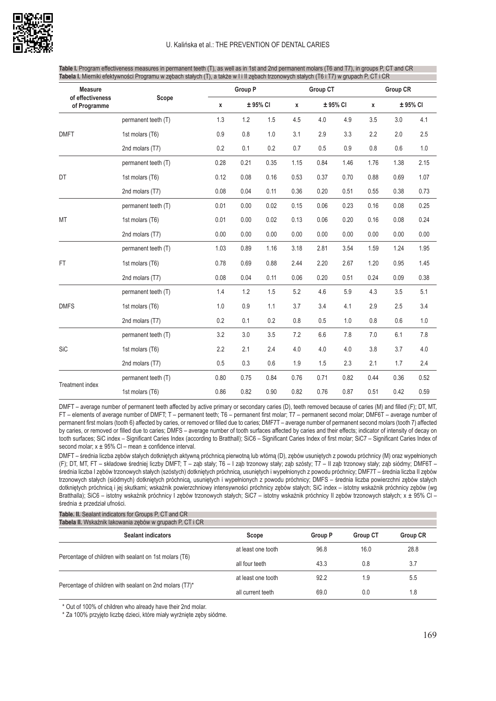

| Table I. Program effectiveness measures in permanent teeth (T), as well as in 1st and 2nd permanent molars (T6 and T7), in groups P, CT and CR $\sqrt$ |  |
|--------------------------------------------------------------------------------------------------------------------------------------------------------|--|
| <b>Tabela I.</b> Mierniki efektywności Programu w zębach stałych (T), a także w I i II zębach trzonowych stałych (T6 i T7) w grupach P, CT i CR        |  |

| <b>Measure</b><br>of effectiveness<br>of Programme | Scope<br>permanent teeth (T) |              | Group P  |      |                          | <b>Group CT</b> |      |      | <b>Group CR</b> |      |  |
|----------------------------------------------------|------------------------------|--------------|----------|------|--------------------------|-----------------|------|------|-----------------|------|--|
|                                                    |                              | $\pmb{\chi}$ | ± 95% CI |      | ± 95% CI<br>$\pmb{\chi}$ |                 | x    |      | ± 95% CI        |      |  |
|                                                    |                              | 1.3          | 1.2      | 1.5  | 4.5                      | 4.0             | 4.9  | 3.5  | 3.0             | 4.1  |  |
| <b>DMFT</b>                                        | 1st molars (T6)              | 0.9          | 0.8      | 1.0  | 3.1                      | 2.9             | 3.3  | 2.2  | 2.0             | 2.5  |  |
|                                                    | 2nd molars (T7)              | 0.2          | 0.1      | 0.2  | 0.7                      | 0.5             | 0.9  | 0.8  | 0.6             | 1.0  |  |
|                                                    | permanent teeth (T)          | 0.28         | 0.21     | 0.35 | 1.15                     | 0.84            | 1.46 | 1.76 | 1.38            | 2.15 |  |
| DT                                                 | 1st molars (T6)              | 0.12         | 0.08     | 0.16 | 0.53                     | 0.37            | 0.70 | 0.88 | 0.69            | 1.07 |  |
|                                                    | 2nd molars (T7)              | 0.08         | 0.04     | 0.11 | 0.36                     | 0.20            | 0.51 | 0.55 | 0.38            | 0.73 |  |
|                                                    | permanent teeth (T)          | 0.01         | 0.00     | 0.02 | 0.15                     | 0.06            | 0.23 | 0.16 | 0.08            | 0.25 |  |
| <b>MT</b>                                          | 1st molars (T6)              | 0.01         | 0.00     | 0.02 | 0.13                     | 0.06            | 0.20 | 0.16 | 0.08            | 0.24 |  |
|                                                    | 2nd molars (T7)              | 0.00         | 0.00     | 0.00 | 0.00                     | 0.00            | 0.00 | 0.00 | 0.00            | 0.00 |  |
|                                                    | permanent teeth (T)          | 1.03         | 0.89     | 1.16 | 3.18                     | 2.81            | 3.54 | 1.59 | 1.24            | 1.95 |  |
| FT.                                                | 1st molars (T6)              | 0.78         | 0.69     | 0.88 | 2.44                     | 2.20            | 2.67 | 1.20 | 0.95            | 1.45 |  |
|                                                    | 2nd molars (T7)              | 0.08         | 0.04     | 0.11 | 0.06                     | 0.20            | 0.51 | 0.24 | 0.09            | 0.38 |  |
|                                                    | permanent teeth (T)          | 1.4          | 1.2      | 1.5  | 5.2                      | 4.6             | 5.9  | 4.3  | 3.5             | 5.1  |  |
| <b>DMFS</b>                                        | 1st molars (T6)              | $1.0\,$      | 0.9      | 1.1  | 3.7                      | 3.4             | 4.1  | 2.9  | 2.5             | 3.4  |  |
|                                                    | 2nd molars (T7)              | 0.2          | 0.1      | 0.2  | 0.8                      | 0.5             | 1.0  | 0.8  | 0.6             | 1.0  |  |
| <b>SiC</b>                                         | permanent teeth (T)          | 3.2          | 3.0      | 3.5  | 7.2                      | 6.6             | 7.8  | 7.0  | 6.1             | 7.8  |  |
|                                                    | 1st molars (T6)              | 2.2          | 2.1      | 2.4  | 4.0                      | 4.0             | 4.0  | 3.8  | 3.7             | 4.0  |  |
|                                                    | 2nd molars (T7)              | 0.5          | 0.3      | 0.6  | 1.9                      | 1.5             | 2.3  | 2.1  | 1.7             | 2.4  |  |
|                                                    | permanent teeth (T)          | 0.80         | 0.75     | 0.84 | 0.76                     | 0.71            | 0.82 | 0.44 | 0.36            | 0.52 |  |
| <b>Treatment index</b>                             | 1st molars (T6)              | 0.86         | 0.82     | 0.90 | 0.82                     | 0.76            | 0.87 | 0.51 | 0.42            | 0.59 |  |

DMFT – average number of permanent teeth affected by active primary or secondary caries (D), teeth removed because of caries (M) and filled (F); DT, MT, FT – elements of average number of DMFT; T – permanent teeth; T6 – permanent first molar; T7 – permanent second molar; DMF6T – average number of permanent first molars (tooth 6) affected by caries, or removed or filled due to caries; DMF7T – average number of permanent second molars (tooth 7) affected by caries, or removed or filled due to caries; DMFS – average number of tooth surfaces affected by caries and their effects; indicator of intensity of decay on tooth surfaces; SiC index – Significant Caries Index (according to Bratthall); SiC6 – Significant Caries Index of first molar; SiC7 – Significant Caries Index of second molar;  $x \pm 95\%$  Cl – mean  $\pm$  confidence interval.

DMFT – średnia liczba zębów stałych dotkniętych aktywną próchnicą pierwotną lub wtórną (D), zębów usuniętych z powodu próchnicy (M) oraz wypełnionych (F); DT, MT, FT – składowe średniej liczby DMFT; T – ząb stały; T6 – I ząb trzonowy stały; ząb szósty; T7 – II ząb trzonowy stały; ząb siódmy; DMF6T – średnia liczba I zębów trzonowych stałych (szóstych) dotkniętych próchnicą, usuniętych i wypełnionych z powodu próchnicy; DMF7T – średnia liczba II zębów trzonowych stałych (siódmych) dotkniętych próchnicą, usuniętych i wypełnionych z powodu próchnicy; DMFS – średnia liczba powierzchni zębów stałych dotkniętych próchnicą i jej skutkami; wskaźnik powierzchniowy intensywności próchnicy zębów stałych; SiC index – istotny wskaźnik próchnicy zębów (wg Bratthalla); SiC6 – istotny wskaźnik próchnicy I zebów trzonowych stałych; SiC7 – istotny wskaźnik próchnicy II zebów trzonowych stałych; x ± 95% Cl – średnia ± przedział ufności.

**Table. II.** Sealant indicators for Groups P, CT and CR

| Tabela II. Wskaźnik lakowania zebów w grupach P. CT i CR |                    |                            |                 |                 |  |  |  |  |  |
|----------------------------------------------------------|--------------------|----------------------------|-----------------|-----------------|--|--|--|--|--|
| <b>Sealant indicators</b>                                | Scope              | <b>Group P</b>             | <b>Group CT</b> | <b>Group CR</b> |  |  |  |  |  |
|                                                          | at least one tooth | 96.8                       | 16.0            | 28.8            |  |  |  |  |  |
| Percentage of children with sealant on 1st molars (T6)   | all four teeth     | 43.3                       | 0.8             | 3.7             |  |  |  |  |  |
| Percentage of children with sealant on 2nd molars (T7)*  | at least one tooth | 92.2<br>1.9<br>69.0<br>0.0 |                 | 5.5             |  |  |  |  |  |
|                                                          | all current teeth  |                            |                 | 1.8             |  |  |  |  |  |

\* Out of 100% of children who already have their 2nd molar.

\* Za 100% przyjęto liczbę dzieci, które miały wyrżnięte zęby siódme.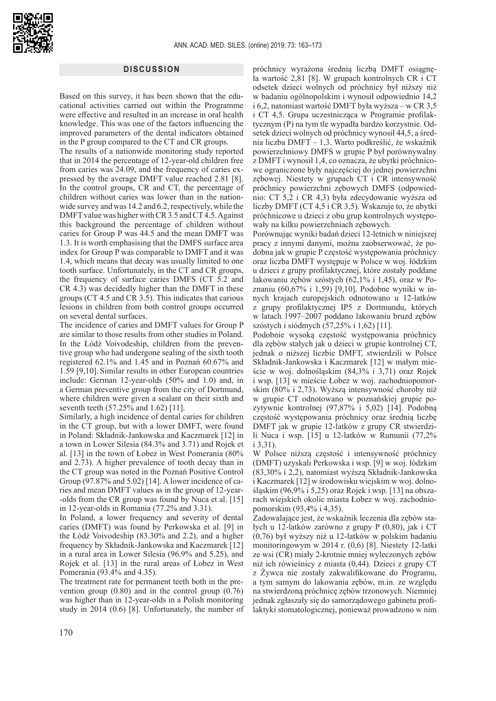## **DISCUSSION**

Based on this survey, it has been shown that the educational activities carried out within the Programme were effective and resulted in an increase in oral health knowledge. This was one of the factors influencing the improved parameters of the dental indicators obtained in the P group compared to the CT and CR groups.

The results of a nationwide monitoring study reported that in 2014 the percentage of 12-year-old children free from caries was 24.09, and the frequency of caries expressed by the average DMFT value reached 2.81 [8]. In the control groups, CR and CT, the percentage of children without caries was lower than in the nationwide survey and was 14.2 and 6.2, respectively, while the DMFT value was higher with CR 3.5 and CT 4.5. Against this background the percentage of children without caries for Group P was 44.5 and the mean DMFT was 1.3. It is worth emphasising that the DMFS surface area index for Group P was comparable to DMFT and it was 1.4, which means that decay was usually limited to one tooth surface. Unfortunately, in the CT and CR groups, the frequency of surface caries DMFS (CT 5.2 and CR 4.3) was decidedly higher than the DMFT in these groups (CT 4.5 and CR 3.5). This indicates that carious lesions in children from both control groups occurred on several dental surfaces.

The incidence of caries and DMFT values for Group P are similar to those results from other studies in Poland. In the Łódź Voivodeship, children from the preventive group who had undergone sealing of the sixth tooth registered 62.1% and 1.45 and in Poznań 60.67% and 1.59 [9,10]. Similar results in other European countries include: German 12-year-olds (50% and 1.0) and, in a German preventive group from the city of Dortmund, where children were given a sealant on their sixth and seventh teeth (57.25% and 1.62) [11].

Similarly, a high incidence of dental caries for children in the CT group, but with a lower DMFT, were found in Poland: Składnik-Jankowska and Kaczmarek [12] in a town in Lower Silesia (84.3% and 3.71) and Rojek et al. [13] in the town of Łobez in West Pomerania (80% and 2.73). A higher prevalence of tooth decay than in the CT group was noted in the Poznań Positive Control Group (97.87% and 5.02) [14]. A lower incidence of caries and mean DMFT values as in the group of 12-year- -olds from the CR group was found by Nuca et al. [15] in 12-year-olds in Romania (77.2% and 3.31).

In Poland, a lower frequency and severity of dental caries (DMFT) was found by Perkowska et al. [9] in the Łódź Voivodeship (83.30% and 2.2), and a higher frequency by Składnik-Jankowska and Kaczmarek [12] in a rural area in Lower Silesia (96.9% and 5.25), and Rojek et al. [13] in the rural areas of Łobez in West Pomerania (93.4% and 4.35).

The treatment rate for permanent teeth both in the prevention group (0.80) and in the control group (0.76) was higher than in 12-year-olds in a Polish monitoring study in 2014 (0.6) [8]. Unfortunately, the number of

próchnicy wyrażona średnią liczbą DMFT osiągnęła wartość 2,81 [8]. W grupach kontrolnych CR i CT odsetek dzieci wolnych od próchnicy był niższy niż w badaniu ogólnopolskim i wynosił odpowiednio 14,2 i 6,2, natomiast wartość DMFT była wyższa – w CR 3,5 i CT 4,5. Grupa uczestnicząca w Programie profilaktycznym (P) na tym tle wypadła bardzo korzystnie. Odsetek dzieci wolnych od próchnicy wynosił 44,5, a średnia liczba DMFT – 1,3. Warto podkreślić, że wskaźnik powierzchniowy DMFS w grupie P był porównywalny z DMFT i wynosił 1,4, co oznacza, że ubytki próchnicowe ograniczone były najczęściej do jednej powierzchni zębowej. Niestety w grupach CT i CR intensywność próchnicy powierzchni zębowych DMFS (odpowiednio: CT 5,2 i CR 4,3) była zdecydowanie wyższa od liczby DMFT (CT 4,5 i CR 3,5). Wskazuje to, że ubytki próchnicowe u dzieci z obu grup kontrolnych występowały na kilku powierzchniach zębowych.

Porównując wyniki badań dzieci 12-letnich w niniejszej pracy z innymi danymi, można zaobserwować, że podobna jak w grupie P częstość występowania próchnicy oraz liczba DMFT występuje w Polsce w woj. łódzkim u dzieci z grupy profilaktycznej, które zostały poddane lakowaniu zębów szóstych (62,1% i 1,45), oraz w Poznaniu (60,67% i 1,59) [9,10]. Podobne wyniki w innych krajach europejskich odnotowano u 12-latków z grupy profilaktycznej IP5 z Dortmundu, których w latach 1997–2007 poddano lakowaniu bruzd zębów szóstych i siódmych (57,25% i 1,62) [11].

Podobnie wysoką częstość występowania próchnicy dla zębów stałych jak u dzieci w grupie kontrolnej CT, jednak o niższej liczbie DMFT, stwierdzili w Polsce Składnik-Jankowska i Kaczmarek [12] w małym mieście w woj. dolnośląskim (84,3% i 3,71) oraz Rojek i wsp. [13] w mieście Łobez w woj. zachodniopomorskim (80% i 2,73). Wyższą intensywność choroby niż w grupie CT odnotowano w poznańskiej grupie pozytywnie kontrolnej (97,87% i 5,02) [14]. Podobną częstość występowania próchnicy oraz średnią liczbę DMFT jak w grupie 12-latków z grupy CR stwierdzili Nuca i wsp. [15] u 12-latków w Rumunii (77,2% i 3,31).

W Polsce niższą częstość i intensywność próchnicy (DMFT) uzyskali Perkowska i wsp. [9] w woj. łódzkim (83,30% i 2,2), natomiast wyższą Składnik-Jankowska i Kaczmarek [12] w środowisku wiejskim w woj. dolnośląskim (96,9% i 5,25) oraz Rojek i wsp. [13] na obszarach wiejskich okolic miasta Łobez w woj. zachodniopomorskim (93,4% i 4,35).

Zadowalające jest, że wskaźnik leczenia dla zębów stałych u 12-latków zarówno z grupy P (0,80), jak i CT (0,76) był wyższy niż u 12-latków w polskim badaniu monitoringowym w 2014 r. (0,6) [8]. Niestety 12-latki ze wsi (CR) miały 2-krotnie mniej wyleczonych zębów niż ich rówieśnicy z miasta (0,44). Dzieci z grupy CT z Żywca nie zostały zakwalifikowane do Programu, a tym samym do lakowania zębów, m.in. ze względu na stwierdzoną próchnicę zębów trzonowych. Niemniej jednak zgłaszały się do samorządowego gabinetu profilaktyki stomatologicznej, ponieważ prowadzono w nim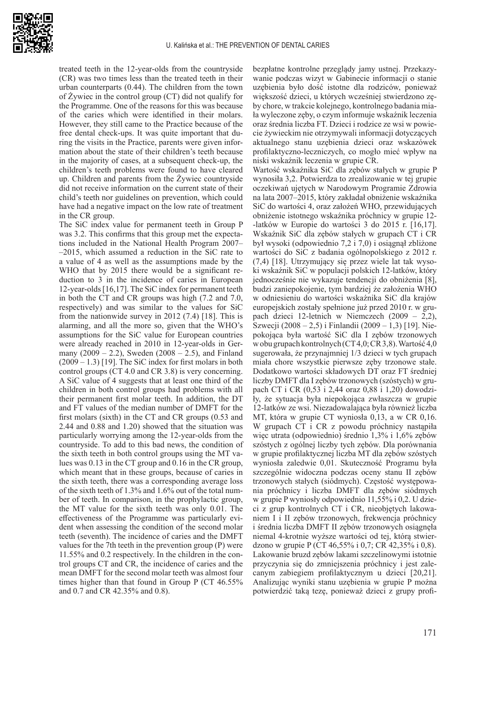

treated teeth in the 12-year-olds from the countryside (CR) was two times less than the treated teeth in their urban counterparts (0.44). The children from the town of Żywiec in the control group (CT) did not qualify for the Programme. One of the reasons for this was because of the caries which were identified in their molars. However, they still came to the Practice because of the free dental check-ups. It was quite important that during the visits in the Practice, parents were given information about the state of their children's teeth because in the majority of cases, at a subsequent check-up, the children's teeth problems were found to have cleared up. Children and parents from the Żywiec countryside did not receive information on the current state of their child's teeth nor guidelines on prevention, which could have had a negative impact on the low rate of treatment in the CR group.

The SiC index value for permanent teeth in Group P was 3.2. This confirms that this group met the expectations included in the National Health Program 2007– –2015, which assumed a reduction in the SiC rate to a value of 4 as well as the assumptions made by the WHO that by 2015 there would be a significant reduction to 3 in the incidence of caries in European 12-year-olds [16,17]. The SiC index for permanent teeth in both the CT and CR groups was high (7.2 and 7.0, respectively) and was similar to the values for SiC from the nationwide survey in 2012 (7.4) [18]. This is alarming, and all the more so, given that the WHO's assumptions for the SiC value for European countries were already reached in 2010 in 12-year-olds in Germany  $(2009 - 2.2)$ , Sweden  $(2008 - 2.5)$ , and Finland  $(2009 - 1.3)$  [19]. The SiC index for first molars in both control groups (CT 4.0 and CR 3.8) is very concerning. A SiC value of 4 suggests that at least one third of the children in both control groups had problems with all their permanent first molar teeth. In addition, the DT and FT values of the median number of DMFT for the first molars (sixth) in the CT and CR groups (0.53 and 2.44 and 0.88 and 1.20) showed that the situation was particularly worrying among the 12-year-olds from the countryside. To add to this bad news, the condition of the sixth teeth in both control groups using the MT values was 0.13 in the CT group and 0.16 in the CR group, which meant that in these groups, because of caries in the sixth teeth, there was a corresponding average loss of the sixth teeth of 1.3% and 1.6% out of the total number of teeth. In comparison, in the prophylactic group, the MT value for the sixth teeth was only 0.01. The effectiveness of the Programme was particularly evident when assessing the condition of the second molar teeth (seventh). The incidence of caries and the DMFT values for the 7th teeth in the prevention group (P) were 11.55% and 0.2 respectively. In the children in the control groups CT and CR, the incidence of caries and the mean DMFT for the second molar teeth was almost four times higher than that found in Group P (CT 46.55% and 0.7 and CR 42.35% and 0.8).

bezpłatne kontrolne przeglądy jamy ustnej. Przekazywanie podczas wizyt w Gabinecie informacji o stanie uzębienia było dość istotne dla rodziców, ponieważ większość dzieci, u których wcześniej stwierdzono zęby chore, w trakcie kolejnego, kontrolnego badania miała wyleczone zęby, o czym informuje wskaźnik leczenia oraz średnia liczba FT. Dzieci i rodzice ze wsi w powiecie żywieckim nie otrzymywali informacji dotyczących aktualnego stanu uzębienia dzieci oraz wskazówek profilaktyczno-leczniczych, co mogło mieć wpływ na niski wskaźnik leczenia w grupie CR.

Wartość wskaźnika SiC dla zębów stałych w grupie P wynosiła 3,2. Potwierdza to zrealizowanie w tej grupie oczekiwań ujętych w Narodowym Programie Zdrowia na lata 2007–2015, który zakładał obniżenie wskaźnika SiC do wartości 4, oraz założeń WHO, przewidujących obniżenie istotnego wskaźnika próchnicy w grupie 12- -latków w Europie do wartości 3 do 2015 r. [16,17]. Wskaźnik SiC dla zębów stałych w grupach CT i CR był wysoki (odpowiednio 7,2 i 7,0) i osiągnął zbliżone wartości do SiC z badania ogólnopolskiego z 2012 r. (7,4) [18]. Utrzymujący się przez wiele lat tak wysoki wskaźnik SiC w populacji polskich 12-latków, który jednocześnie nie wykazuje tendencji do obniżenia [8], budzi zaniepokojenie, tym bardziej że założenia WHO w odniesieniu do wartości wskaźnika SiC dla krajów europejskich zostały spełnione już przed 2010 r. w grupach dzieci 12-letnich w Niemczech (2009 – 2,2), Szwecji (2008 – 2,5) i Finlandii (2009 – 1,3) [19]. Niepokojąca była wartość SiC dla I zębów trzonowych w obu grupach kontrolnych (CT 4,0; CR 3,8). Wartość 4,0 sugerowała, że przynajmniej 1/3 dzieci w tych grupach miała chore wszystkie pierwsze zęby trzonowe stałe. Dodatkowo wartości składowych DT oraz FT średniej liczby DMFT dla I zębów trzonowych (szóstych) w grupach CT i CR (0,53 i 2,44 oraz 0,88 i 1,20) dowodziły, że sytuacja była niepokojąca zwłaszcza w grupie 12-latków ze wsi. Niezadowalająca była również liczba MT, która w grupie CT wyniosła 0,13, a w CR 0,16. W grupach CT i CR z powodu próchnicy nastąpiła więc utrata (odpowiednio) średnio 1,3% i 1,6% zębów szóstych z ogólnej liczby tych zębów. Dla porównania w grupie profilaktycznej liczba MT dla zębów szóstych wyniosła zaledwie 0,01. Skuteczność Programu była szczególnie widoczna podczas oceny stanu II zębów trzonowych stałych (siódmych). Częstość występowania próchnicy i liczba DMFT dla zębów siódmych w grupie P wyniosły odpowiednio 11,55% i 0,2. U dzieci z grup kontrolnych CT i CR, nieobjętych lakowaniem I i II zębów trzonowych, frekwencja próchnicy i średnia liczba DMFT II zębów trzonowych osiągnęła niemal 4-krotnie wyższe wartości od tej, którą stwierdzono w grupie P (CT 46,55% i 0,7; CR 42,35% i 0,8). Lakowanie bruzd zębów lakami szczelinowymi istotnie przyczynia się do zmniejszenia próchnicy i jest zalecanym zabiegiem profilaktycznym u dzieci [20,21]. Analizując wyniki stanu uzębienia w grupie P można potwierdzić taką tezę, ponieważ dzieci z grupy profi-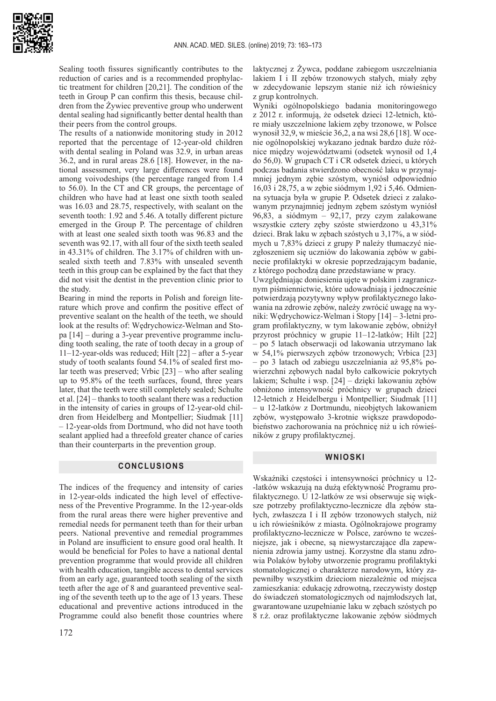

Sealing tooth fissures significantly contributes to the reduction of caries and is a recommended prophylactic treatment for children [20,21]. The condition of the teeth in Group P can confirm this thesis, because children from the Żywiec preventive group who underwent dental sealing had significantly better dental health than their peers from the control groups.

The results of a nationwide monitoring study in 2012 reported that the percentage of 12-year-old children with dental sealing in Poland was 32.9, in urban areas 36.2, and in rural areas 28.6 [18]. However, in the national assessment, very large differences were found among voivodeships (the percentage ranged from 1.4 to 56.0). In the CT and CR groups, the percentage of children who have had at least one sixth tooth sealed was 16.03 and 28.75, respectively, with sealant on the seventh tooth: 1.92 and 5.46. A totally different picture emerged in the Group P. The percentage of children with at least one sealed sixth tooth was 96.83 and the seventh was 92.17, with all four of the sixth teeth sealed in 43.31% of children. The 3.17% of children with unsealed sixth teeth and 7.83% with unsealed seventh teeth in this group can be explained by the fact that they did not visit the dentist in the prevention clinic prior to the study.

Bearing in mind the reports in Polish and foreign literature which prove and confirm the positive effect of preventive sealant on the health of the teeth, we should look at the results of: Wędrychowicz-Welman and Stopa [14] – during a 3-year preventive programme including tooth sealing, the rate of tooth decay in a group of 11–12-year-olds was reduced; Hilt [22] – after a 5-year study of tooth sealants found 54.1% of sealed first molar teeth was preserved; Vrbic [23] – who after sealing up to 95.8% of the teeth surfaces, found, three years later, that the teeth were still completely sealed; Schulte et al. [24] – thanks to tooth sealant there was a reduction in the intensity of caries in groups of 12-year-old children from Heidelberg and Montpellier; Siudmak [11] – 12-year-olds from Dortmund, who did not have tooth sealant applied had a threefold greater chance of caries than their counterparts in the prevention group.

## **CONCLUSIONS**

The indices of the frequency and intensity of caries in 12-year-olds indicated the high level of effectiveness of the Preventive Programme. In the 12-year-olds from the rural areas there were higher preventive and remedial needs for permanent teeth than for their urban peers. National preventive and remedial programmes in Poland are insufficient to ensure good oral health. It would be beneficial for Poles to have a national dental prevention programme that would provide all children with health education, tangible access to dental services from an early age, guaranteed tooth sealing of the sixth teeth after the age of 8 and guaranteed preventive sealing of the seventh teeth up to the age of 13 years. These educational and preventive actions introduced in the Programme could also benefit those countries where

laktycznej z Żywca, poddane zabiegom uszczelniania lakiem I i II zębów trzonowych stałych, miały zęby w zdecydowanie lepszym stanie niż ich rówieśnicy z grup kontrolnych.

Wyniki ogólnopolskiego badania monitoringowego z 2012 r. informują, że odsetek dzieci 12-letnich, które miały uszczelnione lakiem zęby trzonowe, w Polsce wynosił 32,9, w mieście 36,2, a na wsi 28,6 [18]. W ocenie ogólnopolskiej wykazano jednak bardzo duże różnice między województwami (odsetek wynosił od 1,4 do 56,0). W grupach CT i CR odsetek dzieci, u których podczas badania stwierdzono obecność laku w przynajmniej jednym zębie szóstym, wyniósł odpowiednio 16,03 i 28,75, a w zębie siódmym 1,92 i 5,46. Odmienna sytuacja była w grupie P. Odsetek dzieci z zalakowanym przynajmniej jednym zębem szóstym wyniósł 96,83, a siódmym – 92,17, przy czym zalakowane wszystkie cztery zęby szóste stwierdzono u 43,31% dzieci. Brak laku w zębach szóstych u 3,17%, a w siódmych u 7,83% dzieci z grupy P należy tłumaczyć niezgłoszeniem się uczniów do lakowania zębów w gabinecie profilaktyki w okresie poprzedzającym badanie, z którego pochodzą dane przedstawiane w pracy.

Uwzględniając doniesienia ujęte w polskim i zagranicznym piśmiennictwie, które udowadniają i jednocześnie potwierdzają pozytywny wpływ profilaktycznego lakowania na zdrowie zębów, należy zwrócić uwagę na wyniki: Wędrychowicz-Welman i Stopy [14] – 3-letni program profilaktyczny, w tym lakowanie zębów, obniżył przyrost próchnicy w grupie 11–12-latków; Hilt [22] – po 5 latach obserwacji od lakowania utrzymano lak w 54,1% pierwszych zębów trzonowych; Vrbica [23] – po 3 latach od zabiegu uszczelniania aż 95,8% powierzchni zębowych nadal było całkowicie pokrytych lakiem; Schulte i wsp. [24] – dzięki lakowaniu zębów obniżono intensywność próchnicy w grupach dzieci 12-letnich z Heidelbergu i Montpellier; Siudmak [11] – u 12-latków z Dortmundu, nieobjętych lakowaniem zębów, występowało 3-krotnie większe prawdopodobieństwo zachorowania na próchnicę niż u ich rówieśników z grupy profilaktycznej.

## **WNIOSKI**

Wskaźniki częstości i intensywności próchnicy u 12- -latków wskazują na dużą efektywność Programu profilaktycznego. U 12-latków ze wsi obserwuje się większe potrzeby profilaktyczno-lecznicze dla zębów stałych, zwłaszcza I i II zębów trzonowych stałych, niż u ich rówieśników z miasta. Ogólnokrajowe programy profilaktyczno-lecznicze w Polsce, zarówno te wcześniejsze, jak i obecne, są niewystarczające dla zapewnienia zdrowia jamy ustnej. Korzystne dla stanu zdrowia Polaków byłoby utworzenie programu profilaktyki stomatologicznej o charakterze narodowym, który zapewniłby wszystkim dzieciom niezależnie od miejsca zamieszkania: edukację zdrowotną, rzeczywisty dostęp do świadczeń stomatologicznych od najmłodszych lat, gwarantowane uzupełnianie laku w zębach szóstych po 8 r.ż. oraz profilaktyczne lakowanie zębów siódmych